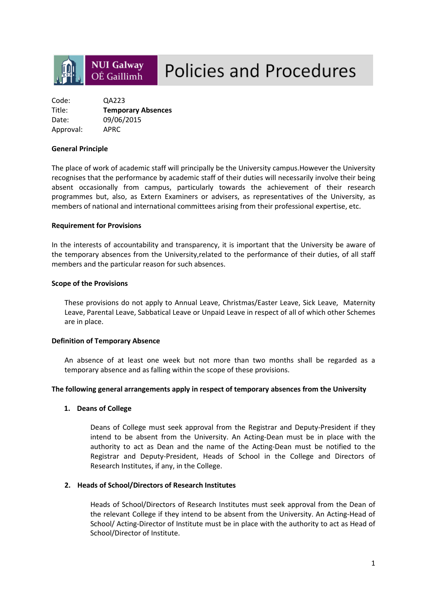# **NUI Galway** OÉ Gaillimh

# **Policies and Procedures**

| Code:     | QA223                     |
|-----------|---------------------------|
| Title:    | <b>Temporary Absences</b> |
| Date:     | 09/06/2015                |
| Approval: | APRC                      |

#### **General Principle**

The place of work of academic staff will principally be the University campus.However the University recognises that the performance by academic staff of their duties will necessarily involve their being absent occasionally from campus, particularly towards the achievement of their research programmes but, also, as Extern Examiners or advisers, as representatives of the University, as members of national and international committees arising from their professional expertise, etc.

#### **Requirement for Provisions**

In the interests of accountability and transparency, it is important that the University be aware of the temporary absences from the University,related to the performance of their duties, of all staff members and the particular reason for such absences.

#### **Scope of the Provisions**

These provisions do not apply to Annual Leave, Christmas/Easter Leave, Sick Leave, Maternity Leave, Parental Leave, Sabbatical Leave or Unpaid Leave in respect of all of which other Schemes are in place.

#### **Definition of Temporary Absence**

An absence of at least one week but not more than two months shall be regarded as a temporary absence and as falling within the scope of these provisions.

#### **The following general arrangements apply in respect of temporary absences from the University**

#### **1. Deans of College**

Deans of College must seek approval from the Registrar and Deputy-President if they intend to be absent from the University. An Acting-Dean must be in place with the authority to act as Dean and the name of the Acting-Dean must be notified to the Registrar and Deputy-President, Heads of School in the College and Directors of Research Institutes, if any, in the College.

#### **2. Heads of School/Directors of Research Institutes**

Heads of School/Directors of Research Institutes must seek approval from the Dean of the relevant College if they intend to be absent from the University. An Acting-Head of School/ Acting-Director of Institute must be in place with the authority to act as Head of School/Director of Institute.